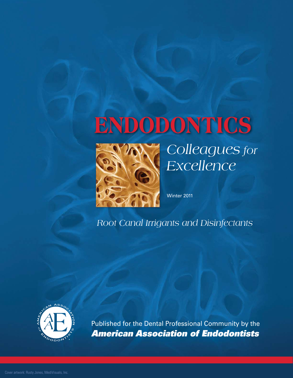# **ENDODONTICS**



*Colleagues for Excellence*

Winter 2011 Winter 2011

*Root Canal Irrigants and Disinfectants Root Canal Irrigants and Disinfectants*



Published for the Dental Professional Community by the American Association of Endodontists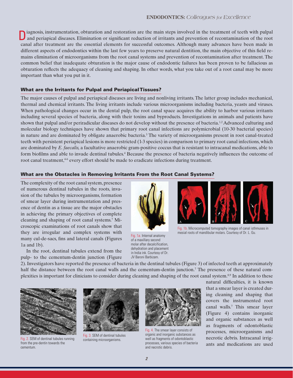iagnosis, instrumentation, obturation and restoration are the main steps involved in the treatment of teeth with pulpal D iagnosis, instrumentation, obturation and restoration are the main steps involved in the treatment of teeth with pulpal and periapical diseases. Elimination or significant reduction of irritants and prevention of reconta canal after treatment are the essential elements for successful outcomes. Although many advances have been made in different aspects of endodontics within the last few years to preserve natural dentition, the main objective of this field remains elimination of microorganisms from the root canal systems and prevention of recontamination after treatment. The common belief that inadequate obturation is the major cause of endodontic failures has been proven to be fallacious as obturation reflects the adequacy of cleaning and shaping. In other words, what you take out of a root canal may be more important than what you put in it.

#### What are the Irritants for Pulpal and Periapical Tissues?

The major causes of pulpal and periapical diseases are living and nonliving irritants. The latter group includes mechanical, thermal and chemical irritants. The living irritants include various microorganisms including bacteria, yeasts and viruses. When pathological changes occur in the dental pulp, the root canal space acquires the ability to harbor various irritants including several species of bacteria, along with their toxins and byproducts. Investigations in animals and patients have shown that pulpal and/or periradicular diseases do not develop without the presence of bacteria.<sup>1,2</sup> Advanced culturing and molecular biology techniques have shown that primary root canal infections are polymicrobial (10-30 bacterial species) in nature and are dominated by obligate anaerobic bacteria.<sup>3</sup> The variety of microorganisms present in root canal-treated teeth with persistent periapical lesions is more restricted (1-3 species) in comparison to primary root canal infections, which are dominated by *E. faecalis,* a facultative anaerobic gram-positive coccus that is resistant to intracanal medications, able to form biofilms and able to invade dentinal tubules.<sup>4</sup> Because the presence of bacteria negatively influences the outcome of root canal treatment,<sup>46</sup> every effort should be made to eradicate infections during treatment.

#### What are the Obstacles in Removing Irritants From the Root Canal Systems?

The complexity of the root canal system, presence of numerous dentinal tubules in the roots, invasion of the tubules by microorganisms, formation of smear layer during instrumentation and presence of dentin as a tissue are the major obstacles in achieving the primary objectives of complete cleaning and shaping of root canal systems.<sup>7</sup> Microscopic examinations of root canals show that they are irregular and complex systems with many cul-de-sacs, fins and lateral canals (Figures 1a and 1b).

In the root, dentinal tubules extend from the pulp- to the cementum-dentin junction (Figure



Fig. 1a. Internal anatomy of a maxillary second molar after decalcification, dehydration and placement in India ink. Courtesy of Dr. JV Baroni Barbizam.



Fig. 1b. Microcomputed tomography images of canal isthmuses in mesial roots of mandibular molars. Courtesy of Dr. L. Gu.

2). Investigators have reported the presence of bacteria in the dentinal tubules (Figure 3) of infected teeth at approximately half the distance between the root canal walls and the cementum-dentin junction.<sup>7</sup> The presence of these natural complexities is important for clinicians to consider during cleaning and shaping of the root canal system.8,9 In addition to these



Fig. 2. SEM of dentinal tubules running from the pre-dentin towards the cementum.



Fig. 3. SEM of dentinal tubules containing microorganisms.



Fig. 4. The smear layer consists of organic and inorganic substances as well as fragments of odontoblastic processes, various species of bacteria and necrotic debris.

natural difficulties, it is known that a smear layer is created during cleaning and shaping that covers the instrumented root canal walls.<sup>7</sup> This smear layer (Figure 4) contains inorganic and organic substances as well as fragments of odontoblastic processes, microorganisms and necrotic debris. Intracanal irrigants and medications are used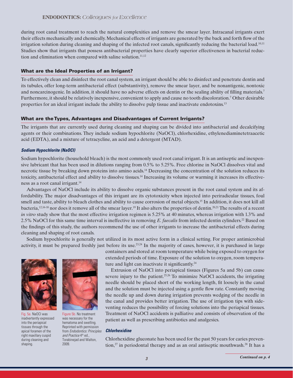during root canal treatment to reach the natural complexities and remove the smear layer. Intracanal irrigants exert their effects mechanically and chemically. Mechanical effects of irrigants are generated by the back and forth flow of the irrigation solution during cleaning and shaping of the infected root canals, significantly reducing the bacterial load.<sup>10,11</sup> Studies show that irrigants that possess antibacterial properties have clearly superior effectiveness in bacterial reduction and elimination when compared with saline solution. $11,12$ 

#### What are the Ideal Properties of an Irrigant?

To effectively clean and disinfect the root canal system, an irrigant should be able to disinfect and penetrate dentin and its tubules, offer long-term antibacterial effect (substantivity), remove the smear layer, and be nonantigenic, nontoxic and noncarcinogenic. In addition, it should have no adverse effects on dentin or the sealing ability of filling materials.<sup>7</sup> Furthermore, it should be relatively inexpensive, convenient to apply and cause no tooth discoloration.<sup>7</sup> Other desirable properties for an ideal irrigant include the ability to dissolve pulp tissue and inactivate endotoxins.<sup>13</sup>

#### What are the Types, Advantages and Disadvantages of Current Irrigants?

The irrigants that are currently used during cleaning and shaping can be divided into antibacterial and decalcifying agents or their combinations. They include sodium hypochlorite (NaOCl), chlorhexidine, ethylenediaminetetraacetic acid (EDTA), and a mixture of tetracycline, an acid and a detergent (MTAD).

#### **Sodium Hypochlorite (NaOCl)**

Sodium hypochlorite (household bleach) is the most commonly used root canal irrigant. It is an antiseptic and inexpensive lubricant that has been used in dilutions ranging from 0.5% to 5.25%. Free chlorine in NaOCl dissolves vital and necrotic tissue by breaking down proteins into amino acids.<sup>14</sup> Decreasing the concentration of the solution reduces its toxicity, antibacterial effect and ability to dissolve tissues.14 Increasing its volume or warming it increases its effectiveness as a root canal irrigant.<sup>14</sup>

Advantages of NaOCl include its ability to dissolve organic substances present in the root canal system and its affordability. The major disadvantages of this irrigant are its cytotoxicity when injected into periradicular tissues, foul smell and taste, ability to bleach clothes and ability to cause corrosion of metal objects.<sup>15</sup> In addition, it does not kill all bacteria,12,16-18 nor does it remove all of the smear layer.<sup>19</sup> It also alters the properties of dentin.20,21 The results of a recent *in vitro* study show that the most effective irrigation regimen is 5.25% at 40 minutes, whereas irrigation with 1.3% and 2.5% NaOCI for this same time interval is ineffective in removing *E. faecalis* from infected dentin cylinders.<sup>22</sup> Based on the findings of this study, the authors recommend the use of other irrigants to increase the antibacterial effects during cleaning and shaping of root canals.

Sodium hypochlorite is generally not utilized in its most active form in a clinical setting. For proper antimicrobial activity, it must be prepared freshly just before its use.<sup>23,24</sup> In the majority of cases, however, it is purchased in large



Fig. 5a. NaOCl was inadvertently expressed into the periapical tissues through the apical foramen of the right maxillary cuspid during cleaning and shaping.



Figure 5b. No treatment was necessary for the hematoma and swelling. Reprinted with permission from Endodontics: Principles and Practice 4<sup>th</sup> ed., Torabinejad and Walton, 2009.

containers and stored at room temperature while being exposed to oxygen for extended periods of time. Exposure of the solution to oxygen, room temperature and light can inactivate it significantly.<sup>24</sup>

Extrusion of NaOCl into periapical tissues (Figures 5a and 5b) can cause severe injury to the patient.<sup>25,26</sup> To minimize NaOCl accidents, the irrigating needle should be placed short of the working length, fit loosely in the canal and the solution must be injected using a gentle flow rate. Constantly moving the needle up and down during irrigation prevents wedging of the needle in the canal and provides better irrigation. The use of irrigation tips with sideventing reduces the possibility of forcing solutions into the periapical tissues. Treatment of NaOCl accidents is palliative and consists of observation of the patient as well as prescribing antibiotics and analgesics.

#### **Chlorhexidine**

Chlorhexidine gluconate has been used for the past 50 years for caries prevention, $27$  in periodontal therapy and as an oral antiseptic mouthwash.<sup>28</sup> It has a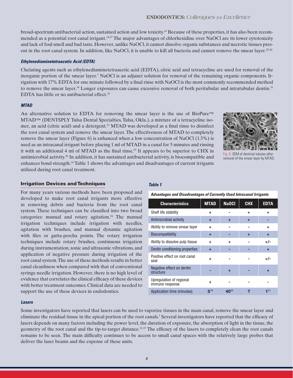broad-spectrum antibacterial action, sustained action and low toxicity.14 Because of these properties, it has also been recommended as a potential root canal irrigant.<sup>14,27</sup> The major advantages of chlorhexidine over NaOCl are its lower cytotoxicity and lack of foul smell and bad taste. However, unlike NaOCl, it cannot dissolve organic substances and necrotic tissues present in the root canal system. In addition, like NaOCl, it is unable to kill all bacteria and cannot remove the smear layer.<sup>29,30</sup>

#### **Ethylenediaminetetraacetic Acid (EDTA)**

Chelating agents such as ethylenediaminetetraacetic acid (EDTA), citric acid and tetracycline are used for removal of the inorganic portion of the smear layer.<sup>7</sup> NaOCl is an adjunct solution for removal of the remaining organic components. Irrigation with 17% EDTA for one minute followed by a final rinse with NaOCl is the most commonly recommended method to remove the smear layer.<sup>14</sup> Longer exposures can cause excessive removal of both peritubular and intratubular dentin.<sup>31</sup> EDTA has little or no antibacterial effect.<sup>32</sup>

#### **MTAD**

An alternative solution to EDTA for removing the smear layer is the use of BioPure™ MTAD™ (DENTSPLY Tulsa Dental Specialties, Tulsa, Okla.), a mixture of a tetracycline isomer, an acid (citric acid) and a detergent.<sup>33</sup> MTAD was developed as a final rinse to disinfect the root canal system and remove the smear layer. The effectiveness of MTAD to completely remove the smear layer (Figure 6) is enhanced when a low concentration of NaOCl (1.3%) is used as an intracanal irrigant before placing 1 ml of MTAD in a canal for 5 minutes and rinsing it with an additional 4 ml of MTAD as the final rinse.<sup>33</sup> It appears to be superior to CHX in antimicrobial activity.<sup>30</sup> In addition, it has sustained antibacterial activity, is biocompatible and enhances bond strength.<sup>14</sup> Table 1 shows the advantages and disadvantages of current irrigants utilized during root canal treatment.



6. SEM of dentinal tubules after removal of the smear layer by MTAD.

#### Irrigation Devices and Techniques

For many years various methods have been proposed and developed to make root canal irrigants more effective in removing debris and bacteria from the root canal system. These techniques can be classified into two broad categories: manual and rotary agitation.<sup>34</sup> The manual irrigation techniques include irrigation with needles, agitation with brushes, and manual dynamic agitation with files or gutta-percha points. The rotary irrigation techniques include rotary brushes, continuous irrigation during instrumentation, sonic and ultrasonic vibrations, and application of negative pressure during irrigation of the root canal system. The use of these methods results in better canal cleanliness when compared with that of conventional syringe needle irrigation. However, there is no high level of evidence that correlates the clinical efficacy of these devices with better treatment outcomes. Clinical data are needed to support the use of these devices in endodontics.

#### **Table 1**

**Advantages and Disadvantages of Currently Used Intracanal Irrigants**

| <b>Characteristics</b>                      | <b>MTAD</b> | <b>NaOCI</b> | <b>CHX</b> | <b>EDTA</b> |
|---------------------------------------------|-------------|--------------|------------|-------------|
| Shelf life stability                        | ٠           |              | ٠          | ÷           |
| Antimicrobial activity                      | ÷           | ÷            | ÷          |             |
| Ability to remove smear layer               | ÷           |              |            | ÷           |
| Biocompatibility                            | ÷           |              | ÷          | ÷           |
| Ability to dissolve pulp tissue             | ÷           | ÷            |            | +/-         |
| Dentin conditioning properties              | ÷           |              |            | ÷           |
| Positive effect on root canal<br>seal       | ٠           |              |            | $+/-$       |
| Negative effect on dentin<br>structure      |             | ÷            |            | ÷           |
| Upregulation of regional<br>immune response | ٠           |              |            |             |
| Application time (minutes)                  | $5^{18}$    | $40^{22}$    |            | 131         |

#### **Lasers**

Some investigators have reported that lasers can be used to vaporize tissues in the main canal, remove the smear layer and eliminate the residual tissue in the apical portion of the root canals.<sup>7</sup> Several investigators have reported that the efficacy of lasers depends on many factors including the power level, the duration of exposure, the absorption of light in the tissue, the geometry of the root canal and the tip-to-target distance.35-37 The efficacy of the lasers to completely clean the root canals remains to be seen. The main difficulty continues to be access to small canal spaces with the relatively large probes that deliver the laser beams and the expense of these units.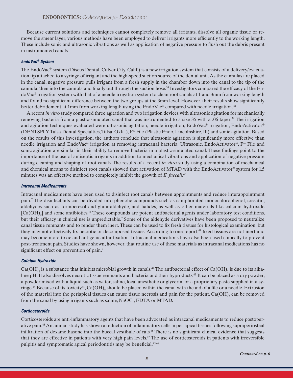Because current solutions and techniques cannot completely remove all irritants, dissolve all organic tissue or remove the smear layer, various methods have been employed to deliver irrigants more efficiently to the working length. These include sonic and ultrasonic vibrations as well as application of negative pressure to flush out the debris present in instrumented canals.

#### **EndoVac® System**

The EndoVac® system (Discus Dental, Culver City, Calif.) is a new irrigation system that consists of a delivery/evacuation tip attached to a syringe of irrigant and the high-speed suction source of the dental unit. As the cannulas are placed in the canal, negative pressure pulls irrigant from a fresh supply in the chamber down into the canal to the tip of the cannula, then into the cannula and finally out through the suction hose.<sup>38</sup> Investigators compared the efficacy of the EndoVac® irrigation system with that of a needle irrigation system to clean root canals at 1 and 3mm from working length and found no significant difference between the two groups at the 3mm level. However, their results show significantly better debridement at 1mm from working length using the EndoVac® compared with needle irrigation.<sup>38</sup>

A recent *in vitro* study compared three agitation and two irrigation devices with ultrasonic agitation for mechanically removing bacteria from a plastic-simulated canal that was instrumented to a size 35 with a .06 taper.<sup>39</sup> The irrigation and agitation techniques evaluated were ultrasonic agitation, needle irrigation, EndoVac® irrigation, EndoActivator® (DENTSPLY Tulsa Dental Specialties, Tulsa, Okla.), F® File (Plastic Endo, Lincolnshire, Ill) and sonic agitation. Based on the results of this investigation, the authors conclude that ultrasonic agitation is significantly more effective than needle irrigation and EndoVac® irrigation at removing intracanal bacteria. Ultrasonic, EndoActivator®, F® File and sonic agitation are similar in their ability to remove bacteria in a plastic-simulated canal. These findings point to the importance of the use of antiseptic irrigants in addition to mechanical vibrations and application of negative pressure during cleaning and shaping of root canals. The results of a recent *in vitro* study using a combination of mechanical and chemical means to disinfect root canals showed that activation of MTAD with the EndoActivator® system for 1.5 minutes was an effective method to completely inhibit the growth of *E. faecali.*<sup>40</sup>

#### **Intracanal Medicaments**

Intracanal medicaments have been used to disinfect root canals between appointments and reduce interappointment pain.<sup>7</sup> The disinfectants can be divided into phenolic compounds such as camphorated monochlorophenol, cresatin, aldehydes such as formocresol and glutaraldehyde, and halides, as well as other materials like calcium hydroxide  $[Ca(OH)_2]$  and some antibiotics.<sup>14</sup> These compounds are potent antibacterial agents under laboratory test conditions, but their efficacy in clinical use is unpredictable.<sup>7</sup> Some of the aldehyde de rivatives have been proposed to neutralize canal tissue remnants and to render them inert. These can be used to fix fresh tissues for histological examination, but they may not effectively fix necrotic or decomposed tissues. According to one report,<sup>41</sup> fixed tissues are not inert and may become more toxic and antigenic after fixation. Intracanal medications have also been used clinically to prevent post-treatment pain. Studies have shown, however, that routine use of these materials as intracanal medications has no significant effect on prevention of pain.<sup>7</sup>

#### **Calcium Hydroxide**

Ca(OH)<sub>2</sub> is a substance that inhibits microbial growth in canals.<sup>42</sup> The antibacterial effect of Ca(OH)<sub>2</sub> is due to its alkaline pH. It also dissolves necrotic tissue remnants and bacteria and their byproducts.<sup>43</sup> It can be placed as a dry powder, a powder mixed with a liquid such as water, saline, local anesthetic or glycerin, or a proprietary paste supplied in a syringe.<sup>14</sup> Because of its toxicity<sup>44</sup>, Ca(OH)<sub>2</sub> should be placed within the canal with the aid of a file or a needle. Extrusion of the material into the periapical tissues can cause tissue necrosis and pain for the patient.  $Ca(OH)_{2}$  can be removed from the canal by using irrigants such as saline, NaOCl, EDTA or MTAD.

#### **Corticosteroids**

Corticosteroids are anti-inflammatory agents that have been advocated as intracanal medicaments to reduce postoperative pain.<sup>45</sup> An animal study has shown a reduction of inflammatory cells in periapical tissues following supraperiosteal infiltration of dexamethasone into the buccal vestibule of rats.<sup>46</sup> There is no significant clinical evidence that suggests that they are effective in patients with very high pain levels.<sup>47</sup> The use of corticosteroids in patients with irreversible pulpitis and symptomatic apical periodontitis may be beneficial.45,48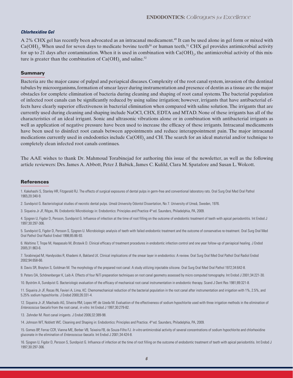#### **Chlorhexidine Gel**

A 2% CHX gel has recently been advocated as an intracanal medicament.<sup>49</sup> It can be used alone in gel form or mixed with  $Ca(OH)_2$ . When used for seven days to medicate bovine teeth<sup>50</sup> or human teeth,<sup>51</sup> CHX gel provides antimicrobial activity for up to 21 days after contamination. When it is used in combination with  $\rm Ca(OH)_2$ , the antimicrobial activity of this mixture is greater than the combination of  $Ca(OH)_{2}$  and saline.<sup>52</sup>

#### Summary

Bacteria are the major cause of pulpal and periapical diseases. Complexity of the root canal system, invasion of the dentinal tubules by microorganisms, formation of smear layer during instrumentation and presence of dentin as a tissue are the major obstacles for complete elimination of bacteria during cleaning and shaping of root canal systems. The bacterial population of infected root canals can be significantly reduced by using saline irrigation; however, irrigants that have antibacterial effects have clearly superior effectiveness in bacterial elimination when compared with saline solution. The irrigants that are currently used during cleaning and shaping include NaOCl, CHX, EDTA and MTAD. None of these irrigants has all of the characteristics of an ideal irrigant. Sonic and ultrasonic vibrations alone or in combination with antibacterial irrigants as well as application of negative pressure have been used to increase the efficacy of these irrigants. Intracanal medicaments have been used to disinfect root canals between appointments and reduce interappointment pain. The major intracanal medications currently used in endodontics include  $Ca(OH)_{2}$  and CH. The search for an ideal material and/or technique to completely clean infected root canals continues.

The AAE wishes to thank Dr. Mahmoud Torabinejad for authoring this issue of the newsletter, as well as the following article reviewers: Drs. James A. Abbott, Peter J. Babick, James C. Kulild, Clara M. Spatafore and Susan L. Wolcott.

#### References

1. Kakehashi S, Stanley HR, Fitzgerald RJ. The effects of surgical exposures of dental pulps in germ-free and conventional laboratory rats. Oral Surg Oral Med Oral Pathol 1965;20:340-9.

2. Sundqvist G. Bacteriological studies of necrotic dental pulps. Umeå University Odontol Dissertation, No 7. University of Umeå, Sweden, 1976.

3. Siqueira Jr JF, Rôças, IN. Endodontic Microbiology in: Endodontics: Principles and Practice 4th ed. Saunders, Philadelphia, PA, 2009.

4. Sjogren U, Figdor D, Persson, Sundqvist G. Influence of infection at the time of root filling on the outcome of endodontic treatment of teeth with apical periodontitis. Int Endod J 1997;30:297-306.

5. Sundqvist G, Figdor D, Persson S, Sjogren U. Microbiologic analysis of teeth with failed endodontic treatment and the outcome of conservative re-treatment. Oral Surg Oral Med Oral Pathol Oral Radiol Endod 1998;85:86-93.

6. Waltimo T, Trope M, Haapasalo M, Ørstavik D. Clinical efficacy of treatment procedures in endodontic infection control and one year follow-up of periapical healing. J Endod 2005;31:863-6.

7. Torabinejad M, Handysides R, Khademi A, Bakland LK. Clinical implications of the smear layer in endodontics: A review. Oral Surg Oral Med Oral Pathol Oral Radiol Endod 2002;94:658-66.

8. Davis SR, Brayton S, Goldman M. The morphology of the prepared root canal: A study utilizing injectable silicone. Oral Surg Oral Med Oral Pathol 1972;34:642-8.

9. Peters OA, Schönenberger K, Laib A. Effects of four NiTi preparation techniques on root canal geometry assessed by micro computed tomography. Int Endod J 2001;34:221-30.

10. Byström A, Sundqvist G. Bacteriologic evaluation of the efficacy of mechanical root canal instrumentation in endodontic therapy. Scand J Dent Res 1981;89:321-8.

11. Siqueira Jr JF, Rocas IN, Favieri A, Lima, KC. Chemomechanical reduction of the bacterial population in the root canal after instrumentation and irrigation with 1%, 2.5%, and 5.25% sodium hypochlorite. J Endod 2000;26:331-4.

12. Siqueira Jr JF, Machado AG, Silveira RM, Lopes HP, de Uzeda M. Evaluation of the effectiveness of sodium hypochlorite used with three irrigation methods in the elimination of Enterococcus faecalis from the root canal, in vitro. Int Endod J 1997;30:279-82.

13. Zehnder M. Root canal irrigants. J Endod 2006;32:389-98.

14. Johnson WT, Noblett WC. Cleaning and Shaping in: Endodontics: Principles and Practice. 4th ed. Saunders, Philadelphia, PA, 2009.

15. Gomes BP, Ferraz CCR, Vianna ME, Berber VB, Teixeira FB, de Souza-Filho FJ. In vitro antimicrobial activity of several concentrations of sodium hypochlorite and chlorhexidine gluconate in the elimination of *Enterococcus faecalis*. Int Endod J 2001;34:424-8.

16. Sjogren U, Figdor D, Persson S, Sundqvist G. Influence of infection at the time of root filling on the outcome of endodontic treatment of teeth with apical periodontitis. Int Endod J 1997;30:297-306.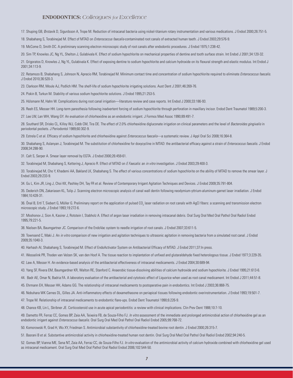#### **ENDODONTICS:** *Colleagues for Excellence*

17. Shuping GB, Ørstavik D, Sigurdsson A, Trope M. Reduction of intracanal bacteria using nickel-titanium rotary instrumentation and various medications. J Endod 2000;26:751-5.

18. Shabahang S, Torabinejad M. Effect of MTAD on *Enterococcus faecalis*-contaminated root canals of extracted human teeth. J Endod 2003;29:576-9.

19. McCome D, Smith DC. A preliminary scanning electron microscopic study of root canals after endodontic procedures. J Endod 1975;1:238-42.

20. Sim TP, Knowles JC, Ng YL, Shelton J, Gulabivala K. Effect of sodium hypochlorite on mechanical properties of dentine and tooth surface strain. Int Endod J 2001;34:120-32.

21. Grigoratos D, Knowles J, Ng YL, Gulabivala K. Effect of exposing dentine to sodium hypochlorite and calcium hydroxide on its flexural strength and elastic modulus. Int Endod J 2001;34:113-9.

22. Retamozo B, Shabahang S, Johnson N, Aprecio RM, Torabinejad M. Minimum contact time and concentration of sodium hypochlorite required to eliminate Enterococcus faecalis. J Endod 2010;36:520-3.

23. Clarkson RM, Moule AJ, Podlich HM. The shelf-life of sodium hypochlorite irrigating solutions. Aust Dent J 2001;46:269-76.

24. Piskin B, Turkun M. Stability of various sodium hypochlorite solutions. J Endod 1995;21:253-5.

25. Hülsmann M, Hahn W. Complications during root canal irrigation—literature review and case reports. Int Endod J 2000;33:186-93.

26. Reeh ES, Messer HH. Long-term paresthesia following inadvertent forcing of sodium hypochlorite through perforation in maxillary incisor. Endod Dent Traumatol 1989;5:200-3.

27. Lee LW, Lan WH, Wang GY. An evaluation of chlorhexidine as an endodontic irrigant. J Formos Med Assoc 1990;89:491-7.

28. Southard SR, Drisko CL, Killoy WJ, Cobb CM, Tira DE. The effect of 2.0% chlorhexidine digluconate irrigation on clinical parameters and the level of Bacteroides gingivalis in periodontal pockets. J Periodontol 1989;60:302-9.

29. Estrela C et al. Efficacy of sodium hypochlorite and chlorhexidine against *Enterococcus faecalis*—a systematic review. J Appl Oral Sci 2008;16:364-8.

30. Shabahang S, Aslanyan J, Torabinejad M. The substitution of chlorhexidine for doxycycline in MTAD: the antibacterial efficacy against a strain of *Enterococcus faecalis*. J Endod 2008;34:288-90.

31. Calt S, Serper A. Smear layer removal by EGTA. J Endod 2000;26:459-61.

32. Torabinejad M, Shabahang S, Kettering J, Aprecio R. Effect of MTAD on E Faecalis: an in vitro investigation. J Endod 2003;29:400-3.

33. Torabinejad M, Cho Y, Khademi AA, Bakland LK, Shabahang S. The effect of various concentrations of sodium hypochlorite on the ability of MTAD to remove the smear layer. J Endod 2003;29:233-9.

34. Gu L, Kim JR, Ling J, Choi KK, Pashley DH, Tay FR et al. Review of Contemporary Irrigant Agitation Techniques and Devices. J Endod 2009;35:791-804.

35. Dederich DN, Zakariasen KL, Tulip J. Scanning electron microscopic analysis of canal wall dentin following neodymium-yttrium-aluminum-garnet laser irradiation. J Endod 1984;10:428-31.

36. Önal B, Ertl T, Siebert G, Müller G. Preliminary report on the application of pulsed CO<sub>2</sub> laser radiation on root canals with AgCl fibers: a scanning and transmission electron microscopic study. J Endod 1993;19:272-6.

37. Moshonov J, Sion A, Kasirer J, Rotstein I, Stabholz A. Effect of argon laser irradiation in removing intracanal debris. Oral Surg Oral Med Oral Pathol Oral Radiol Endod 1995;79:221-5.

38. Nielsen BA, Baumgartner JC. Comparison of the EndoVac system to needle irrigation of root canals. J Endod 2007;33:611-5.

39. Townsend C, Maki J. An in vitro comparison of new irrigation and agitation techniques to ultrasonic agitation in removing bacteria from a simulated root canal. J Endod 2009;35:1040-3.

40. Harhash AI, Shabahang S, Torabinejad M. Effect of EndoActivator System on Antibacterial Efficacy of MTAD. J Endod 2011;37:In press.

41. Wesselink PR, Thoden van Velzen SK, van den Hoof A. The tissue reaction to implantation of unfixed and glutaraldehyde fixed heterologous tissue. J Endod 1977;3:229-35.

42. Law A, Messer H. An evidence-based analysis of the antibacterial effectiveness of intracanal medicaments. J Endod 2004;30:689-94.

43. Yang SF, Rivera EM, Baumgardner KR, Walton RE, Stanford C. Anaerobic tissue-dissolving abilities of calcium hydroxide and sodium hypochlorite. J Endod 1995;21:613-6.

- 44. Badr AE, Omar N, Badria FA. A laboratory evaluation of the antibacterial and cytotoxic effect of Liquorice when used as root canal medicament. Int Endod J 2011;44:51-8.
- 45. Ehrmann EH, Messer HH, Adams GG. The relationship of intracanal medicaments to postoperative pain in endodontics. Int Endod J 2003;36:868-75.
- 46. Nobuhara WK Carnes DL, Gilles JA. Anti-inflammatory effects of dexamethasone on periapical tissues following endodontic overinstrumentation. J Endod 1993;19:501-7.

47. Trope M. Relationship of intracanal medicaments to endodontic flare-ups. Endod Dent Traumatol 1990;6:226-9.

48. Chance KB, Lin L, Skribner JE. Corticosteroid use in acute apical periodontitis: a review with clinical implications. Clin Prev Dent 1988;10:7-10.

49. Dametto FR, Ferraz CC, Gomes BP, Zaia AA, Teixeira FB, de Souza-Filho FJ. In vitro assessment of the immediate and prolonged antimicrobial action of chlorhexidine gel as an endodontic irrigant against Enterococcus faecalis. Oral Surg Oral Med Oral Pathol Oral Radiol Endod 2005;99:768-72.

50. Komorowski R, Grad H, Wu XY, Friedman S. Antimicrobial substantivity of chlorhexidine-treated bovine root dentin. J Endod 2000;26:315-7.

51. Basrani B et al. Substantive antimicrobial activity in chlorhexidine-treated human root dentin. Oral Surg Oral Med Oral Pathol Oral Radiol Endod 2002;94:240-5.

52. Gomes BP, Vianna ME, Sena NT, Zaia AA, Ferraz CC, de Souza-Filho FJ. In vitro evaluation of the antimicrobial activity of calcium hydroxide combined with chlorhexidine gel used as intracanal medicament. Oral Surg Oral Med Oral Pathol Oral Radiol Endod 2006;102:544-50.